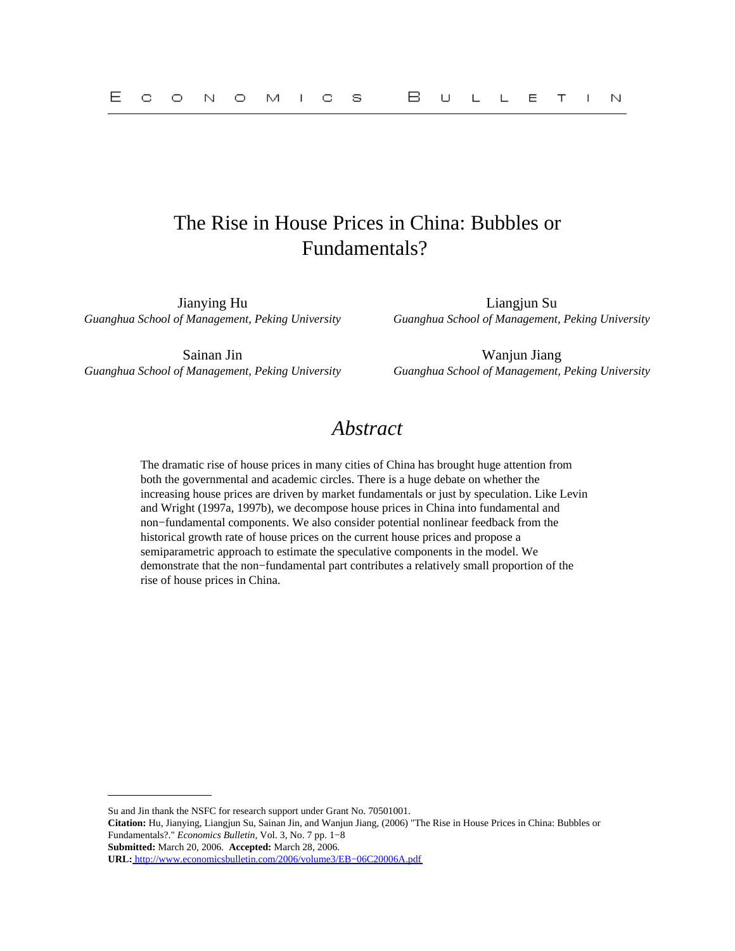# The Rise in House Prices in China: Bubbles or Fundamentals?

Jianying Hu Liangjun Su *Guanghua School of Management, Peking University Guanghua School of Management, Peking University*

*Guanghua School of Management, Peking University Guanghua School of Management, Peking University*

Sainan Jin Wanjun Jiang

# *Abstract*

The dramatic rise of house prices in many cities of China has brought huge attention from both the governmental and academic circles. There is a huge debate on whether the increasing house prices are driven by market fundamentals or just by speculation. Like Levin and Wright (1997a, 1997b), we decompose house prices in China into fundamental and non−fundamental components. We also consider potential nonlinear feedback from the historical growth rate of house prices on the current house prices and propose a semiparametric approach to estimate the speculative components in the model. We demonstrate that the non−fundamental part contributes a relatively small proportion of the rise of house prices in China.

**Submitted:** March 20, 2006. **Accepted:** March 28, 2006.

Su and Jin thank the NSFC for research support under Grant No. 70501001.

**Citation:** Hu, Jianying, Liangjun Su, Sainan Jin, and Wanjun Jiang, (2006) "The Rise in House Prices in China: Bubbles or Fundamentals?." *Economics Bulletin,* Vol. 3, No. 7 pp. 1−8

**URL:** [http://www.economicsbulletin.com/2006/volume3/EB−06C20006A.pdf](http://www.economicsbulletin.com/2006/volume3/EB-06C20006A.pdf)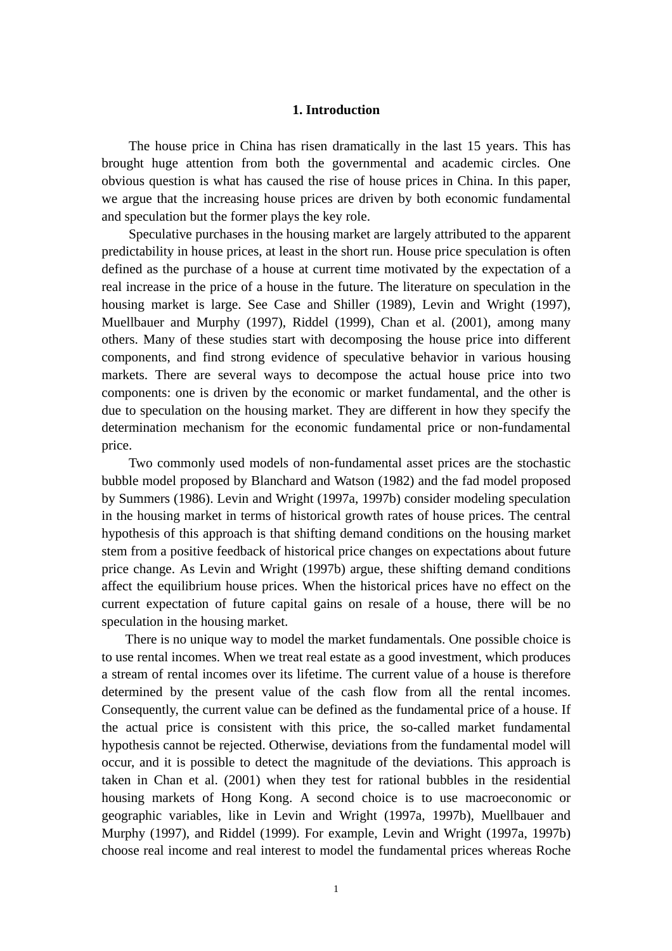# **1. Introduction**

The house price in China has risen dramatically in the last 15 years. This has brought huge attention from both the governmental and academic circles. One obvious question is what has caused the rise of house prices in China. In this paper, we argue that the increasing house prices are driven by both economic fundamental and speculation but the former plays the key role.

Speculative purchases in the housing market are largely attributed to the apparent predictability in house prices, at least in the short run. House price speculation is often defined as the purchase of a house at current time motivated by the expectation of a real increase in the price of a house in the future. The literature on speculation in the housing market is large. See Case and Shiller (1989), Levin and Wright (1997), Muellbauer and Murphy (1997), Riddel (1999), Chan et al. (2001), among many others. Many of these studies start with decomposing the house price into different components, and find strong evidence of speculative behavior in various housing markets. There are several ways to decompose the actual house price into two components: one is driven by the economic or market fundamental, and the other is due to speculation on the housing market. They are different in how they specify the determination mechanism for the economic fundamental price or non-fundamental price.

Two commonly used models of non-fundamental asset prices are the stochastic bubble model proposed by Blanchard and Watson (1982) and the fad model proposed by Summers (1986). Levin and Wright (1997a, 1997b) consider modeling speculation in the housing market in terms of historical growth rates of house prices. The central hypothesis of this approach is that shifting demand conditions on the housing market stem from a positive feedback of historical price changes on expectations about future price change. As Levin and Wright (1997b) argue, these shifting demand conditions affect the equilibrium house prices. When the historical prices have no effect on the current expectation of future capital gains on resale of a house, there will be no speculation in the housing market.

There is no unique way to model the market fundamentals. One possible choice is to use rental incomes. When we treat real estate as a good investment, which produces a stream of rental incomes over its lifetime. The current value of a house is therefore determined by the present value of the cash flow from all the rental incomes. Consequently, the current value can be defined as the fundamental price of a house. If the actual price is consistent with this price, the so-called market fundamental hypothesis cannot be rejected. Otherwise, deviations from the fundamental model will occur, and it is possible to detect the magnitude of the deviations. This approach is taken in Chan et al. (2001) when they test for rational bubbles in the residential housing markets of Hong Kong. A second choice is to use macroeconomic or geographic variables, like in Levin and Wright (1997a, 1997b), Muellbauer and Murphy (1997), and Riddel (1999). For example, Levin and Wright (1997a, 1997b) choose real income and real interest to model the fundamental prices whereas Roche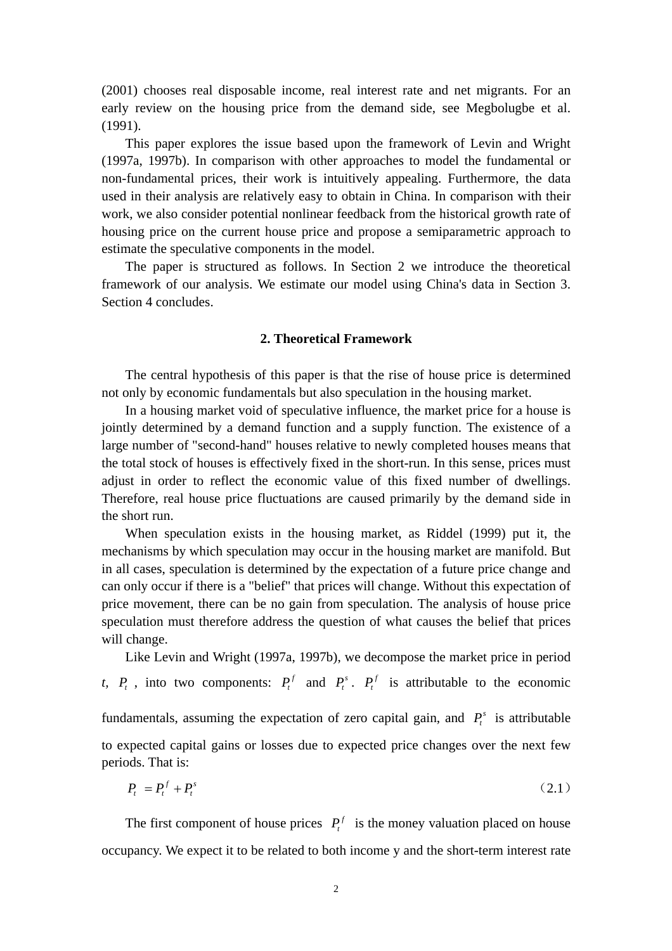(2001) chooses real disposable income, real interest rate and net migrants. For an early review on the housing price from the demand side, see Megbolugbe et al. (1991).

This paper explores the issue based upon the framework of Levin and Wright (1997a, 1997b). In comparison with other approaches to model the fundamental or non-fundamental prices, their work is intuitively appealing. Furthermore, the data used in their analysis are relatively easy to obtain in China. In comparison with their work, we also consider potential nonlinear feedback from the historical growth rate of housing price on the current house price and propose a semiparametric approach to estimate the speculative components in the model.

The paper is structured as follows. In Section 2 we introduce the theoretical framework of our analysis. We estimate our model using China's data in Section 3. Section 4 concludes.

# **2. Theoretical Framework**

The central hypothesis of this paper is that the rise of house price is determined not only by economic fundamentals but also speculation in the housing market.

In a housing market void of speculative influence, the market price for a house is jointly determined by a demand function and a supply function. The existence of a large number of "second-hand" houses relative to newly completed houses means that the total stock of houses is effectively fixed in the short-run. In this sense, prices must adjust in order to reflect the economic value of this fixed number of dwellings. Therefore, real house price fluctuations are caused primarily by the demand side in the short run.

When speculation exists in the housing market, as Riddel (1999) put it, the mechanisms by which speculation may occur in the housing market are manifold. But in all cases, speculation is determined by the expectation of a future price change and can only occur if there is a "belief" that prices will change. Without this expectation of price movement, there can be no gain from speculation. The analysis of house price speculation must therefore address the question of what causes the belief that prices will change.

Like Levin and Wright (1997a, 1997b), we decompose the market price in period *t*,  $P_t$ , into two components:  $P_t^f$  and  $P_t^s$ .  $P_t^f$  is attributable to the economic fundamentals, assuming the expectation of zero capital gain, and  $P_t^s$  is attributable to expected capital gains or losses due to expected price changes over the next few periods. That is:

$$
P_t = P_t^f + P_t^s \tag{2.1}
$$

The first component of house prices  $P_t^f$  is the money valuation placed on house occupancy. We expect it to be related to both income y and the short-term interest rate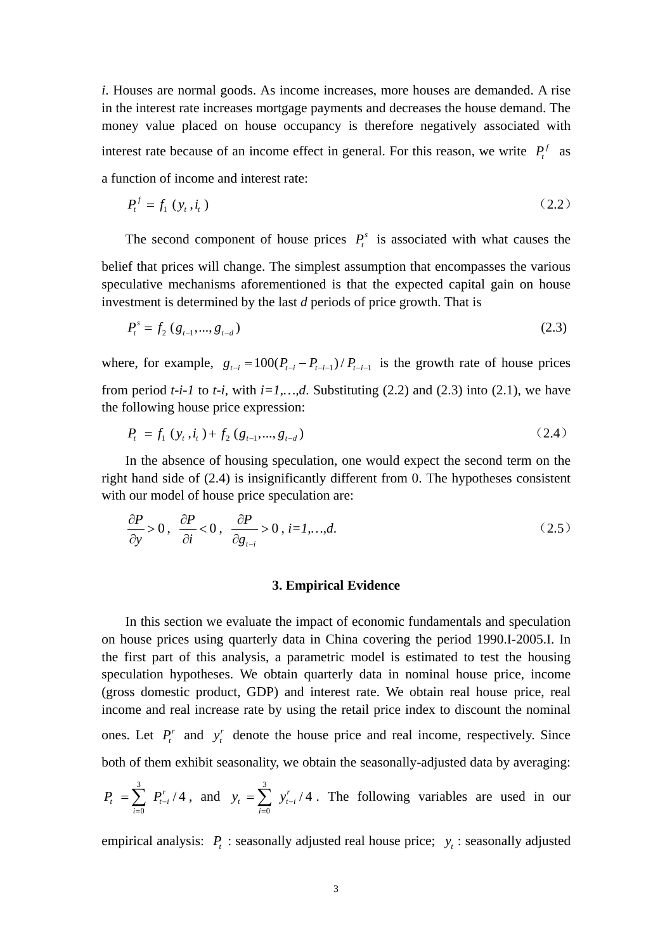*i*. Houses are normal goods. As income increases, more houses are demanded. A rise in the interest rate increases mortgage payments and decreases the house demand. The money value placed on house occupancy is therefore negatively associated with interest rate because of an income effect in general. For this reason, we write  $P_t^f$  as a function of income and interest rate:

$$
P_t^f = f_1 \left( y_t, i_t \right) \tag{2.2}
$$

The second component of house prices  $P_t^s$  is associated with what causes the belief that prices will change. The simplest assumption that encompasses the various speculative mechanisms aforementioned is that the expected capital gain on house investment is determined by the last *d* periods of price growth. That is

$$
P_t^s = f_2(g_{t-1},...,g_{t-d})
$$
\n(2.3)

where, for example,  $g_{t-i} = 100(P_{t-i} - P_{t-i-1})/P_{t-i-1}$  is the growth rate of house prices from period  $t-i-1$  to  $t-i$ , with  $i=1,\ldots,d$ . Substituting (2.2) and (2.3) into (2.1), we have the following house price expression:

$$
P_{t} = f_{1} (y_{t}, i_{t}) + f_{2} (g_{t-1},...,g_{t-d})
$$
\n(2.4)

In the absence of housing speculation, one would expect the second term on the right hand side of (2.4) is insignificantly different from 0. The hypotheses consistent with our model of house price speculation are:

$$
\frac{\partial P}{\partial y} > 0, \quad \frac{\partial P}{\partial i} < 0, \quad \frac{\partial P}{\partial g_{t-i}} > 0, \quad i = 1, \dots, d. \tag{2.5}
$$

#### **3. Empirical Evidence**

In this section we evaluate the impact of economic fundamentals and speculation on house prices using quarterly data in China covering the period 1990.I-2005.I. In the first part of this analysis, a parametric model is estimated to test the housing speculation hypotheses. We obtain quarterly data in nominal house price, income (gross domestic product, GDP) and interest rate. We obtain real house price, real income and real increase rate by using the retail price index to discount the nominal ones. Let  $P_t^r$  and  $y_t^r$  denote the house price and real income, respectively. Since both of them exhibit seasonality, we obtain the seasonally-adjusted data by averaging:

$$
P_t = \sum_{i=0}^{3} P_{t-i}^{r}/4
$$
, and  $y_t = \sum_{i=0}^{3} y_{t-i}^{r}/4$ . The following variables are used in our

empirical analysis:  $P_t$ : seasonally adjusted real house price;  $y_t$ : seasonally adjusted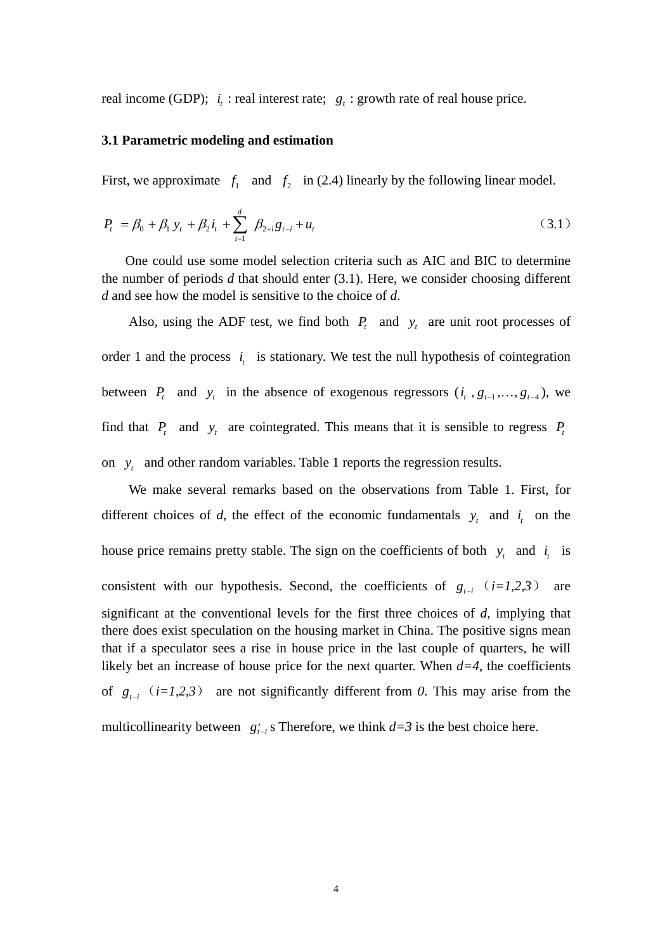real income (GDP);  $i_t$ : real interest rate;  $g_t$ : growth rate of real house price.

#### **3.1 Parametric modeling and estimation**

First, we approximate  $f_1$  and  $f_2$  in (2.4) linearly by the following linear model.

$$
P_{t} = \beta_{0} + \beta_{1} y_{t} + \beta_{2} i_{t} + \sum_{i=1}^{d} \beta_{2+i} g_{t-i} + u_{t}
$$
 (3.1)

One could use some model selection criteria such as AIC and BIC to determine the number of periods *d* that should enter (3.1). Here, we consider choosing different *d* and see how the model is sensitive to the choice of *d*.

Also, using the ADF test, we find both  $P_t$  and  $y_t$  are unit root processes of order 1 and the process  $i_i$  is stationary. We test the null hypothesis of cointegration between  $P_t$  and  $y_t$  in the absence of exogenous regressors  $(i_t, g_{t-1},..., g_{t-4})$ , we find that  $P_t$  and  $y_t$  are cointegrated. This means that it is sensible to regress  $P_t$ on  $y_t$  and other random variables. Table 1 reports the regression results.

We make several remarks based on the observations from Table 1. First, for different choices of *d*, the effect of the economic fundamentals  $y_t$  and  $i_t$  on the house price remains pretty stable. The sign on the coefficients of both  $y_t$  and  $i_t$  is consistent with our hypothesis. Second, the coefficients of  $g_{t-i}$   $(i=1,2,3)$  are significant at the conventional levels for the first three choices of *d*, implying that there does exist speculation on the housing market in China. The positive signs mean that if a speculator sees a rise in house price in the last couple of quarters, he will likely bet an increase of house price for the next quarter. When  $d=4$ , the coefficients of  $g_{t-i}$  (*i*=1,2,3) are not significantly different from 0. This may arise from the multicollinearity between  $g_{t-i}$  *s* Therefore, we think  $d=3$  is the best choice here.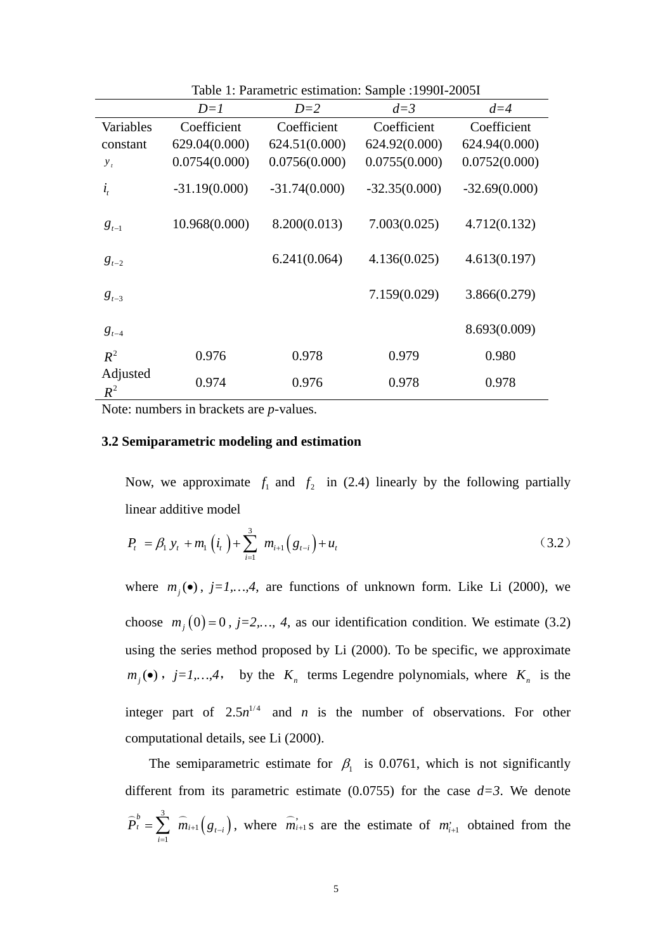|                   | $D=1$           | $D=2$           | $d=3$           | $d=4$           |
|-------------------|-----------------|-----------------|-----------------|-----------------|
| Variables         | Coefficient     | Coefficient     | Coefficient     | Coefficient     |
| constant          | 629.04(0.000)   | 624.51(0.000)   | 624.92(0.000)   | 624.94(0.000)   |
| $y_t$             | 0.0754(0.000)   | 0.0756(0.000)   | 0.0755(0.000)   | 0.0752(0.000)   |
| $i_{t}$           | $-31.19(0.000)$ | $-31.74(0.000)$ | $-32.35(0.000)$ | $-32.69(0.000)$ |
| $g_{t-1}$         | 10.968(0.000)   | 8.200(0.013)    | 7.003(0.025)    | 4.712(0.132)    |
| $g_{t-2}$         |                 | 6.241(0.064)    | 4.136(0.025)    | 4.613(0.197)    |
| $g_{t-3}$         |                 |                 | 7.159(0.029)    | 3.866(0.279)    |
| $g_{t-4}$         |                 |                 |                 | 8.693(0.009)    |
| $R^2$             | 0.976           | 0.978           | 0.979           | 0.980           |
| Adjusted<br>$R^2$ | 0.974           | 0.976           | 0.978           | 0.978           |

Table 1: Parametric estimation: Sample :1990I-2005I

Note: numbers in brackets are *p*-values.

# **3.2 Semiparametric modeling and estimation**

Now, we approximate  $f_1$  and  $f_2$  in (2.4) linearly by the following partially linear additive model

$$
P_{t} = \beta_{1} y_{t} + m_{1} (i_{t}) + \sum_{i=1}^{3} m_{i+1} (g_{t-i}) + u_{t}
$$
 (3.2)

choose  $m_j(0) = 0$ ,  $j = 2,..., 4$ , as our identification condition. We estimate (3.2) where  $m_j(\bullet)$ ,  $j=1,...,4$ , are functions of unknown form. Like Li (2000), we using the series method proposed by Li (2000). To be specific, we approximate  $m_j(\bullet)$ ,  $j=1,...,4$ , by the  $K_n$  terms Legendre polynomials, where  $K_n$  is the integer part of  $2.5n^{1/4}$  and *n* is the number of observations. For other computational details, see Li (2000).

The semiparametric estimate for  $\beta_1$  is 0.0761, which is not significantly different from its parametric estimate  $(0.0755)$  for the case  $d=3$ . We denote  $\widehat{P}_{t}^{b} = \sum_{i=1}^{3} \widehat{m}_{i+1}$ 1 1 *b*  $t_{t} = \sum_{l} m_{i+1} g_{t-i}$ *i*  $P_t^{\nu} = \sum m_{i+1} (g_{t-1})$  $=\sum_{i=1}^{3} \widehat{m}_{i+1}(g_{t-i}),$  where  $\widehat{m}_{i+1}$  s are the estimate of  $m_{i+1}$  obtained from the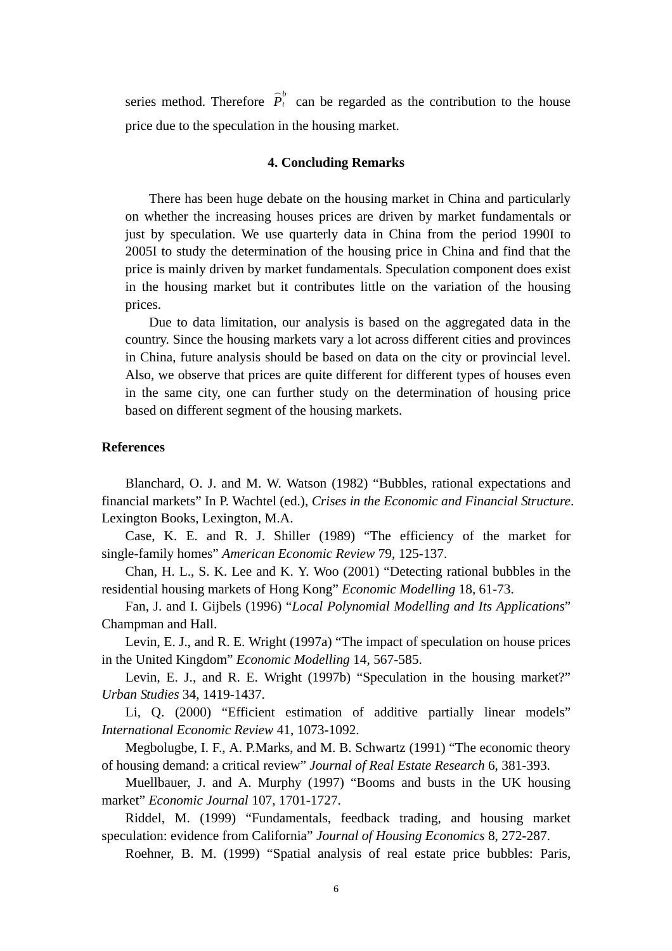series method. Therefore  $\hat{P}_t^b$  can be regarded as the contribution to the house price due to the speculation in the housing market.

# **4. Concluding Remarks**

There has been huge debate on the housing market in China and particularly on whether the increasing houses prices are driven by market fundamentals or just by speculation. We use quarterly data in China from the period 1990I to 2005I to study the determination of the housing price in China and find that the price is mainly driven by market fundamentals. Speculation component does exist in the housing market but it contributes little on the variation of the housing prices.

Due to data limitation, our analysis is based on the aggregated data in the country. Since the housing markets vary a lot across different cities and provinces in China, future analysis should be based on data on the city or provincial level. Also, we observe that prices are quite different for different types of houses even in the same city, one can further study on the determination of housing price based on different segment of the housing markets.

#### **References**

Blanchard, O. J. and M. W. Watson (1982) "Bubbles, rational expectations and financial markets" In P. Wachtel (ed.), *Crises in the Economic and Financial Structure*. Lexington Books, Lexington, M.A.

Case, K. E. and R. J. Shiller (1989) "The efficiency of the market for single-family homes" *American Economic Review* 79, 125-137.

Chan, H. L., S. K. Lee and K. Y. Woo (2001) "Detecting rational bubbles in the residential housing markets of Hong Kong" *Economic Modelling* 18, 61-73.

Fan, J. and I. Gijbels (1996) "*Local Polynomial Modelling and Its Applications*" Champman and Hall.

Levin, E. J., and R. E. Wright (1997a) "The impact of speculation on house prices in the United Kingdom" *Economic Modelling* 14, 567-585.

Levin, E. J., and R. E. Wright (1997b) "Speculation in the housing market?" *Urban Studies* 34, 1419-1437.

Li, Q. (2000) "Efficient estimation of additive partially linear models" *International Economic Review* 41, 1073-1092.

Megbolugbe, I. F., A. P.Marks, and M. B. Schwartz (1991) "The economic theory of housing demand: a critical review" *Journal of Real Estate Research* 6, 381-393.

Muellbauer, J. and A. Murphy (1997) "Booms and busts in the UK housing market" *Economic Journal* 107, 1701-1727.

Riddel, M. (1999) "Fundamentals, feedback trading, and housing market speculation: evidence from California" *Journal of Housing Economics* 8, 272-287.

Roehner, B. M. (1999) "Spatial analysis of real estate price bubbles: Paris,